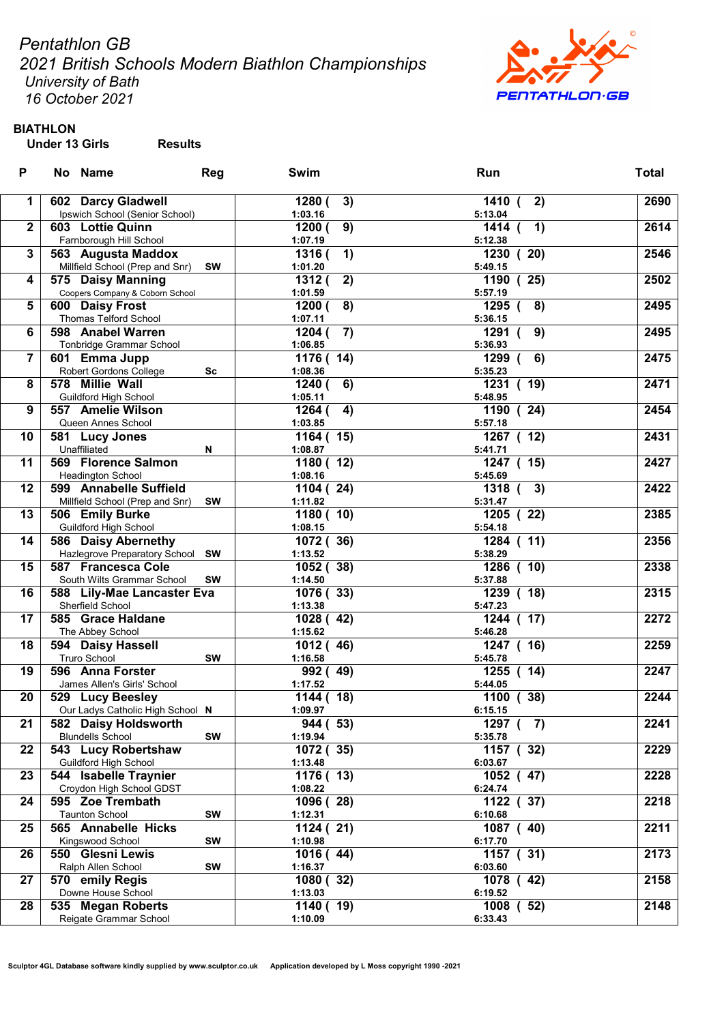Pentathlon GB

2021 British Schools Modern Biathlon Championships University of Bath

**PENTATHLON.GB** 

16 October 2021

# BIATHLON

| P           | No Name                                            | <b>Reg</b> | Swim         | Run           | <b>Total</b> |
|-------------|----------------------------------------------------|------------|--------------|---------------|--------------|
| $\mathbf 1$ | 602 Darcy Gladwell                                 |            | 1280 (<br>3) | 1410 (<br>2)  | 2690         |
|             | Ipswich School (Senior School)                     |            | 1:03.16      | 5:13.04       |              |
| $\mathbf 2$ | 603 Lottie Quinn                                   |            | 9)<br>1200 ( | 1)<br>1414 (  | 2614         |
|             | Farnborough Hill School                            |            | 1:07.19      | 5:12.38       |              |
| 3           | 563 Augusta Maddox                                 |            | 1316 (<br>1) | 1230(20)      | 2546         |
|             | Millfield School (Prep and Snr) SW                 |            | 1:01.20      | 5:49.15       |              |
| 4           | 575 Daisy Manning                                  |            | 2)<br>1312(  | 1190 (25)     | 2502         |
|             | Coopers Company & Coborn School                    |            | 1:01.59      | 5:57.19       |              |
| 5           | 600 Daisy Frost                                    |            | 8)<br>1200 ( | 1295 (<br>8)  | 2495         |
|             | Thomas Telford School                              |            | 1:07.11      | 5:36.15       |              |
| 6           | 598 Anabel Warren                                  |            | 7)<br>1204 ( | 1291<br>9)    | 2495         |
|             | Tonbridge Grammar School                           |            | 1:06.85      | 5:36.93       |              |
| 7           | 601 Emma Jupp                                      |            | 1176 (14)    | 1299 (<br>6)  | 2475         |
|             | Robert Gordons College                             | Sc         | 1:08.36      | 5:35.23       |              |
| 8           | 578 Millie Wall                                    |            | 1240 (<br>6) | 1231(19)      | 2471         |
|             | Guildford High School                              |            | 1:05.11      | 5:48.95       |              |
| 9           | 557 Amelie Wilson                                  |            | 4)<br>1264 ( | 1190 (24)     | 2454         |
|             | Queen Annes School                                 |            | 1:03.85      | 5:57.18       |              |
| 10          | 581 Lucy Jones                                     |            | 1164 (15)    | 1267 (12)     | 2431         |
|             | Unaffiliated                                       | N          | 1:08.87      | 5:41.71       |              |
| 11          | 569 Florence Salmon                                |            |              | 1247 (15)     | 2427         |
|             |                                                    |            | 1180(12)     | 5:45.69       |              |
| 12          | <b>Headington School</b><br>599 Annabelle Suffield |            | 1:08.16      | 1318 (        | 2422         |
|             |                                                    |            | 1104 (24)    | 3)            |              |
| 13          | Millfield School (Prep and Snr)                    | <b>SW</b>  | 1:11.82      | 5:31.47       | 2385         |
|             | 506 Emily Burke                                    |            | 1180(10)     | 1205 (22)     |              |
|             | <b>Guildford High School</b>                       |            | 1:08.15      | 5:54.18       |              |
| 14          | 586 Daisy Abernethy                                |            | 1072 (36)    | 1284 (11)     | 2356         |
|             | Hazlegrove Preparatory School SW                   |            | 1:13.52      | 5:38.29       |              |
| 15          | 587 Francesca Cole                                 |            | 1052 (38)    | 1286 ( 10)    | 2338         |
|             | South Wilts Grammar School                         | SW         | 1:14.50      | 5:37.88       |              |
| 16          | 588 Lily-Mae Lancaster Eva                         |            | 1076 (33)    | 1239 ( 18)    | 2315         |
|             | Sherfield School                                   |            | 1:13.38      | 5:47.23       |              |
| 17          | 585 Grace Haldane                                  |            | 1028 (42)    | 1244 ( 17)    | 2272         |
|             | The Abbey School                                   |            | 1:15.62      | 5:46.28       |              |
| 18          | 594 Daisy Hassell                                  |            | 1012(46)     | 1247 ( 16)    | 2259         |
|             | <b>Truro School</b>                                | <b>SW</b>  | 1:16.58      | 5:45.78       |              |
| 19          | 596 Anna Forster                                   |            | 992 (49)     | 1255 ( 14)    | 2247         |
|             | James Allen's Girls' School                        |            | 1:17.52      | 5:44.05       |              |
| 20          | 529 Lucy Beesley                                   |            | 1144(18)     | 1100(38)      | 2244         |
|             | Our Ladys Catholic High School N                   |            | 1:09.97      | 6:15.15       |              |
| 21          | 582 Daisy Holdsworth                               |            | 944 (53)     | 1297 $(7)$    | 2241         |
|             | <b>Blundells School</b>                            | SW         | 1:19.94      | 5:35.78       |              |
| 22          | 543 Lucy Robertshaw                                |            | 1072 (35)    | 1157 (32)     | 2229         |
|             | Guildford High School                              |            | 1:13.48      | 6:03.67       |              |
| 23          | 544 Isabelle Traynier                              |            | 1176(13)     | 47)<br>1052 ( | 2228         |
|             | Croydon High School GDST                           |            | 1:08.22      | 6:24.74       |              |
| 24          | 595 Zoe Trembath                                   |            | 1096 (28)    | 1122 (37)     | 2218         |
|             | <b>Taunton School</b>                              | <b>SW</b>  | 1:12.31      | 6:10.68       |              |
| 25          | 565 Annabelle Hicks                                |            | 1124 (21)    | 1087 (40)     | 2211         |
|             | Kingswood School                                   | <b>SW</b>  | 1:10.98      | 6:17.70       |              |
| 26          | 550 Glesni Lewis                                   |            | 1016(44)     | 1157 (31)     | 2173         |
|             | Ralph Allen School                                 | SW         | 1:16.37      | 6:03.60       |              |
| 27          | 570 emily Regis                                    |            | 1080 (32)    | 1078<br>(42)  | 2158         |
|             | Downe House School                                 |            | 1:13.03      | 6:19.52       |              |
| 28          | 535 Megan Roberts                                  |            | 1140(19)     | 1008<br>52)   | 2148         |
|             | Reigate Grammar School                             |            | 1:10.09      | 6:33.43       |              |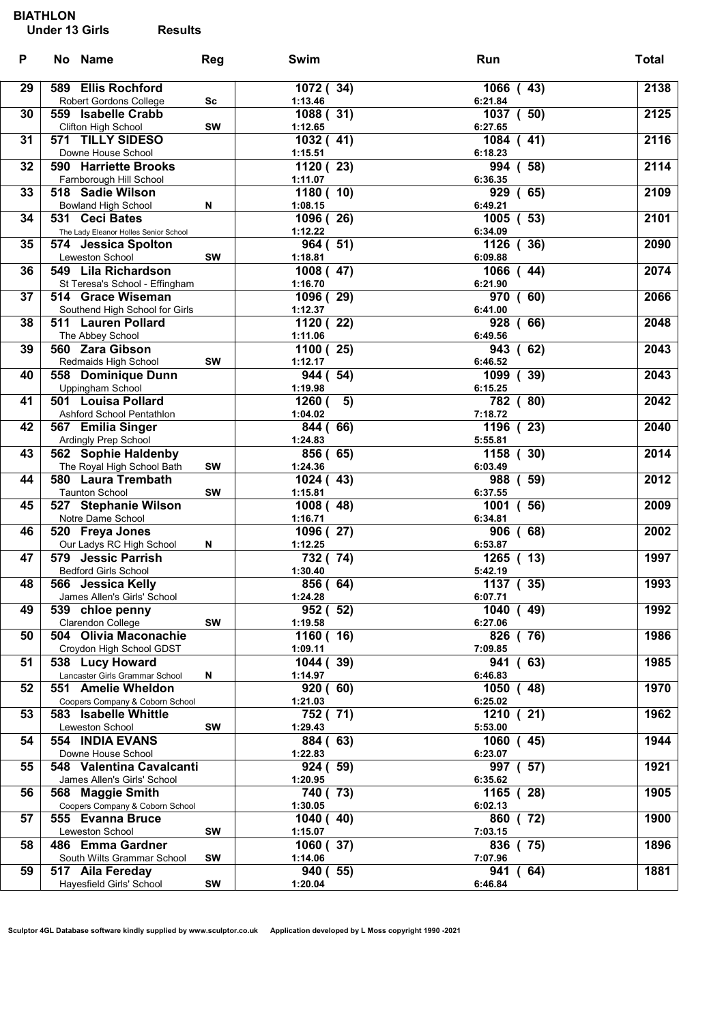### BIATHLON

| P  | No Name                                                           | Reg       | Swim                              | Run                                               | <b>Total</b> |
|----|-------------------------------------------------------------------|-----------|-----------------------------------|---------------------------------------------------|--------------|
| 29 | 589 Ellis Rochford<br>Robert Gordons College                      | Sc        | 1072 (34)<br>1:13.46              | 1066 (43)<br>6:21.84                              | 2138         |
| 30 | 559 Isabelle Crabb<br>Clifton High School                         | <b>SW</b> | 1088 (31)<br>1:12.65              | 1037 ( 50)<br>6:27.65                             | 2125         |
| 31 | 571 TILLY SIDESO<br>Downe House School                            |           | 1032 (41)<br>1:15.51              | 1084 (41)<br>6:18.23                              | 2116         |
| 32 | 590 Harriette Brooks<br>Farnborough Hill School                   |           | 1120 (23)<br>1:11.07              | 994 (58)<br>6:36.35                               | 2114         |
| 33 | 518 Sadie Wilson<br><b>Bowland High School</b>                    | N         | $\overline{1180}$ (10)<br>1:08.15 | 929 (65)<br>6:49.21                               | 2109         |
| 34 | 531 Ceci Bates<br>The Lady Eleanor Holles Senior School           |           | 1096 (26)<br>1:12.22              | 1005 ( 53)<br>6:34.09                             | 2101         |
| 35 | 574 Jessica Spolton<br>Leweston School                            | SW        | 964 (51)<br>1:18.81               | 1126(36)<br>6:09.88                               | 2090         |
| 36 | 549 Lila Richardson<br>St Teresa's School - Effingham             |           | 1008 (47)<br>1:16.70              | 1066 (44)<br>6:21.90                              | 2074         |
| 37 | 514 Grace Wiseman<br>Southend High School for Girls               |           | 1096 (29)<br>1:12.37              | (60)<br>970<br>6:41.00                            | 2066         |
| 38 | 511 Lauren Pollard<br>The Abbey School                            |           | 1120(22)<br>1:11.06               | 928 (66)<br>6:49.56                               | 2048         |
| 39 | 560 Zara Gibson<br>Redmaids High School                           | <b>SW</b> | 1100 (25)<br>1:12.17              | 943 (62)<br>6:46.52                               | 2043         |
| 40 | 558 Dominique Dunn<br>Uppingham School                            |           | 944 (54)<br>1:19.98               | $1099$ (39)<br>6:15.25                            | 2043         |
| 41 | 501 Louisa Pollard<br>Ashford School Pentathlon                   |           | 5)<br>1260(<br>1:04.02            | 782 (80)<br>7:18.72                               | 2042         |
| 42 | 567 Emilia Singer<br>Ardingly Prep School                         |           | 844 (66)<br>1:24.83               | 1196 (23)<br>5:55.81                              | 2040         |
| 43 | 562 Sophie Haldenby<br>The Royal High School Bath                 | SW        | 856 (65)<br>1:24.36               | 1158 (30)<br>6:03.49                              | 2014         |
| 44 | 580 Laura Trembath<br><b>Taunton School</b>                       | SW        | 1024 (43)<br>1:15.81              | 988 (59)<br>6:37.55                               | 2012         |
| 45 | 527 Stephanie Wilson<br>Notre Dame School                         |           | 1008 (48)<br>1:16.71              | 56)<br>1001<br>$\overline{ }$<br>6:34.81          | 2009         |
| 46 | 520 Freya Jones<br>Our Ladys RC High School                       | N         | 1096 (27)<br>1:12.25              | 906 (68)<br>6:53.87                               | 2002         |
| 47 | 579 Jessic Parrish<br><b>Bedford Girls School</b>                 |           | 732 (74)<br>1:30.40               | 1265 (13)<br>5:42.19                              | 1997         |
| 48 | 566 Jessica Kelly<br>James Allen's Girls' School                  |           | 856 (64)<br>1:24.28               | 1137 (35)<br>6:07.71                              | 1993         |
| 49 | 539 chloe penny<br>Clarendon College                              | SW        | 952 ( 52)<br>1:19.58              | 1040 (49)<br>6:27.06                              | 1992<br>1986 |
| 50 | 504 Olivia Maconachie<br>Croydon High School GDST                 |           | 1160 (16)<br>1:09.11<br>1044 (39) | 826 (76)<br>7:09.85<br>(63)                       | 1985         |
| 51 | 538 Lucy Howard<br>Lancaster Girls Grammar School                 | N         | 1:14.97                           | 941<br>6:46.83                                    |              |
| 52 | 551 Amelie Wheldon<br>Coopers Company & Coborn School             |           | 920(60)<br>1:21.03                | 1050<br>(48)<br>6:25.02                           | 1970         |
| 53 | 583 Isabelle Whittle<br>Leweston School<br><b>554 INDIA EVANS</b> | SW        | 752 (71)<br>1:29.43<br>884 (63)   | $\overline{1210}$ ( 21)<br>5:53.00<br>$1060$ (45) | 1962<br>1944 |
| 54 | Downe House School                                                |           | 1:22.83                           | 6:23.07                                           | 1921         |
| 55 | 548 Valentina Cavalcanti<br>James Allen's Girls' School           |           | 924 (59)<br>1:20.95               | 997 (57)<br>6:35.62                               |              |
| 56 | 568 Maggie Smith<br>Coopers Company & Coborn School               |           | 740 (73)<br>1:30.05               | 1165 (28)<br>6:02.13                              | 1905<br>1900 |
| 57 | 555 Evanna Bruce<br>Leweston School<br>486 Emma Gardner           | SW        | 1040(40)<br>1:15.07               | (72)<br>860<br>7:03.15                            |              |
| 58 | South Wilts Grammar School                                        | SW        | 1060 (37)<br>1:14.06              | 836 (75)<br>7:07.96                               | 1896         |
| 59 | 517 Aila Fereday<br>Hayesfield Girls' School                      | SW        | 940(55)<br>1:20.04                | (64)<br>941<br>6:46.84                            | 1881         |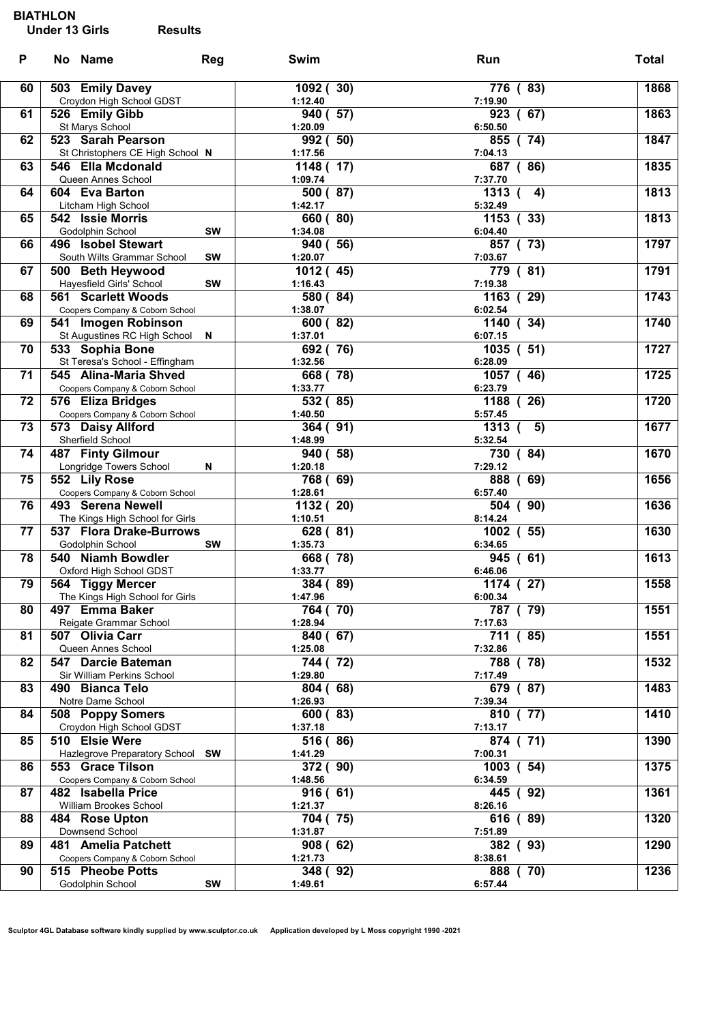#### BIATHLON

| P  | No Name                                                  | Reg       | Swim                 | Run                              | <b>Total</b> |
|----|----------------------------------------------------------|-----------|----------------------|----------------------------------|--------------|
| 60 | 503 Emily Davey                                          |           | 1092 (30)            | 776 (83)                         | 1868         |
| 61 | Croydon High School GDST<br>526 Emily Gibb               |           | 1:12.40<br>940 (57)  | 7:19.90<br>$\overline{923}$ (67) | 1863         |
| 62 | St Marys School<br>523 Sarah Pearson                     |           | 1:20.09<br>992 (50)  | 6:50.50<br>855 (74)              | 1847         |
| 63 | St Christophers CE High School N<br>546 Ella Mcdonald    |           | 1:17.56<br>1148 (17) | 7:04.13<br>687 (86)              | 1835         |
| 64 | Queen Annes School<br>604 Eva Barton                     |           | 1:09.74<br>500 (87)  | 7:37.70<br>1313 (<br>4)          | 1813         |
|    | Litcham High School                                      |           | 1:42.17              | 5:32.49                          |              |
| 65 | 542 Issie Morris<br>Godolphin School                     | <b>SW</b> | 660 (80)<br>1:34.08  | 1153(33)<br>6:04.40              | 1813         |
| 66 | 496 Isobel Stewart<br>South Wilts Grammar School         | <b>SW</b> | 940 (56)<br>1:20.07  | 857 (73)<br>7:03.67              | 1797         |
| 67 | 500 Beth Heywood                                         |           | 1012 (45)            | 779 (81)                         | 1791         |
| 68 | Hayesfield Girls' School<br>561 Scarlett Woods           | <b>SW</b> | 1:16.43<br>580 (84)  | 7:19.38<br>1163 (29)             | 1743         |
|    | Coopers Company & Coborn School                          |           | 1:38.07              | 6:02.54                          |              |
| 69 | 541 Imogen Robinson<br>St Augustines RC High School N    |           | 600 (82)<br>1:37.01  | 1140 (34)<br>6:07.15             | 1740         |
| 70 | 533 Sophia Bone                                          |           | 692 (76)             | 1035 ( 51)                       | 1727         |
|    | St Teresa's School - Effingham                           |           | 1:32.56              | 6:28.09                          |              |
| 71 | 545 Alina-Maria Shved<br>Coopers Company & Coborn School |           | 668 (78)<br>1:33.77  | $-46)$<br>1057 (<br>6:23.79      | 1725         |
| 72 | 576 Eliza Bridges                                        |           | 532 (85)             | 1188 (26)                        | 1720         |
| 73 | Coopers Company & Coborn School<br>573 Daisy Allford     |           | 1:40.50<br>364(91)   | 5:57.45<br>1313 (<br>5)          | 1677         |
|    | Sherfield School                                         |           | 1:48.99              | 5:32.54                          |              |
| 74 | 487 Finty Gilmour<br>Longridge Towers School             | N         | 940 (58)<br>1:20.18  | 730 (84)<br>7:29.12              | 1670         |
| 75 | 552 Lily Rose                                            |           | 768 (69)             | 888 (69)                         | 1656         |
| 76 | Coopers Company & Coborn School<br>493 Serena Newell     |           | 1:28.61              | 6:57.40<br>504 (90)              | 1636         |
|    | The Kings High School for Girls                          |           | 1132 (20)<br>1:10.51 | 8:14.24                          |              |
| 77 | 537 Flora Drake-Burrows<br>Godolphin School              | <b>SW</b> | 628 (81)<br>1:35.73  | 1002 ( 55)<br>6:34.65            | 1630         |
| 78 | 540 Niamh Bowdler                                        |           | 668 (78)             | 945 (61)                         | 1613         |
| 79 | Oxford High School GDST<br>564 Tiggy Mercer              |           | 1:33.77<br>384 (89)  | 6:46.06<br>1174 (27)             | 1558         |
|    | The Kings High School for Girls                          |           | 1:47.96              | 6:00.34                          |              |
| 80 | 497 Emma Baker<br>Reigate Grammar School                 |           | 764 (70)<br>1:28.94  | 787 (79)<br>7:17.63              | 1551         |
| 81 | 507 Olivia Carr                                          |           | 840 (67)             | 711 (85)                         | 1551         |
| 82 | Queen Annes School<br>547 Darcie Bateman                 |           | 1:25.08<br>744 (72)  | 7:32.86<br>788 (78)              | 1532         |
|    | Sir William Perkins School                               |           | 1:29.80              | 7:17.49                          |              |
| 83 | 490 Bianca Telo                                          |           | 804 (68)             | 679 (87)                         | 1483         |
| 84 | Notre Dame School<br>508 Poppy Somers                    |           | 1:26.93<br>600 (83)  | 7:39.34<br>810 (77)              | 1410         |
|    | Croydon High School GDST                                 |           | 1:37.18              | 7:13.17                          |              |
| 85 | 510 Elsie Were<br>Hazlegrove Preparatory School SW       |           | 516 (86)<br>1:41.29  | $\overline{874}$ (71)<br>7:00.31 | 1390         |
| 86 | 553 Grace Tilson                                         |           | 372 (90)             | 1003 ( 54)                       | 1375         |
| 87 | Coopers Company & Coborn School<br>482 Isabella Price    |           | 1:48.56<br>916(61)   | 6:34.59<br>445 (92)              | 1361         |
|    | William Brookes School                                   |           | 1:21.37              | 8:26.16                          |              |
| 88 | 484 Rose Upton<br>Downsend School                        |           | 704 (75)<br>1:31.87  | 616 (89)<br>7:51.89              | 1320         |
| 89 | 481 Amelia Patchett                                      |           | 908(62)              | 382 (93)                         | 1290         |
| 90 | Coopers Company & Coborn School<br>515 Pheobe Potts      |           | 1:21.73<br>348 (92)  | 8:38.61<br>888 (70)              | 1236         |
|    | Godolphin School                                         | SW        | 1:49.61              | 6:57.44                          |              |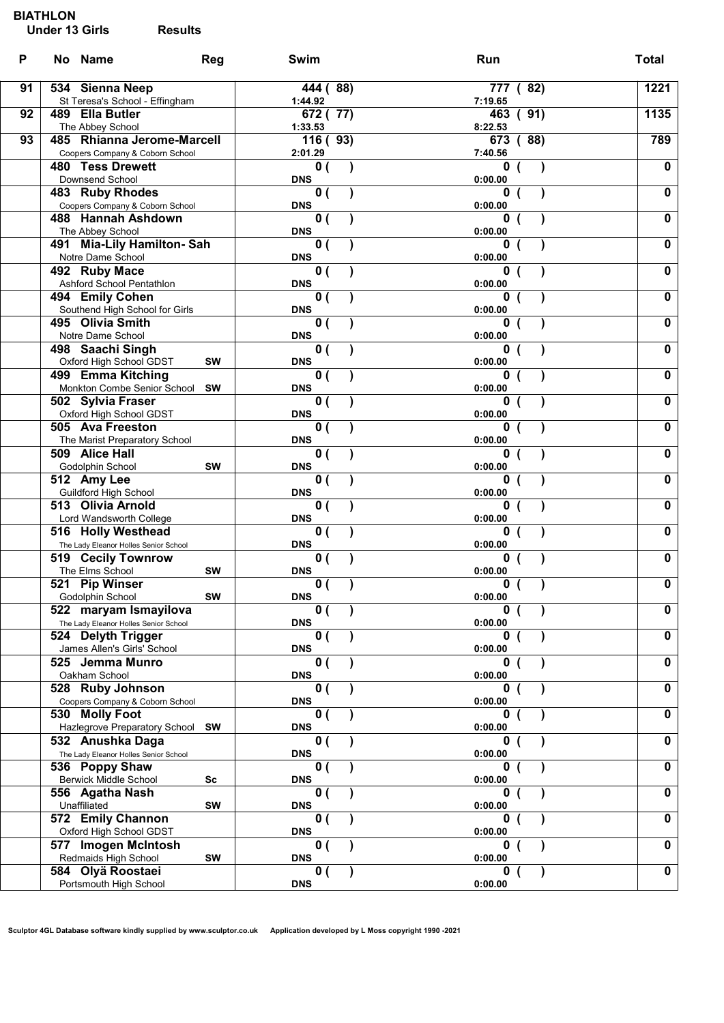### BIATHLON

| P  | No Name                                                       | <b>Reg</b> | Swim                                    | Run                 | <b>Total</b>            |
|----|---------------------------------------------------------------|------------|-----------------------------------------|---------------------|-------------------------|
| 91 | 534 Sienna Neep                                               |            | 444 (88)<br>1:44.92                     | 777 (82)<br>7:19.65 | 1221                    |
| 92 | St Teresa's School - Effingham<br>489 Ella Butler             |            | 672 (77)                                | 463 (91)            | 1135                    |
|    | The Abbey School                                              |            | 1:33.53                                 | 8:22.53             |                         |
| 93 | 485 Rhianna Jerome-Marcell<br>Coopers Company & Coborn School |            | 116(93)<br>2:01.29                      | 673 (88)<br>7:40.56 | 789                     |
|    | <b>480 Tess Drewett</b>                                       |            | 0(                                      | 0                   | $\mathbf 0$             |
|    | Downsend School                                               |            | <b>DNS</b>                              | 0:00.00             |                         |
|    | 483 Ruby Rhodes<br>Coopers Company & Coborn School            |            | 0(<br><b>DNS</b>                        | 0<br>0:00.00        | $\mathbf 0$             |
|    | 488 Hannah Ashdown                                            |            | $\mathbf{0}$ (                          | 0                   | $\mathbf 0$             |
|    | The Abbey School                                              |            | <b>DNS</b>                              | 0:00.00             |                         |
|    | 491 Mia-Lily Hamilton-Sah<br>Notre Dame School                |            | 0(<br><b>DNS</b>                        | 0<br>0:00.00        | $\mathbf 0$             |
|    | 492 Ruby Mace                                                 |            | 0(                                      | 0                   | $\mathbf 0$             |
|    | Ashford School Pentathlon                                     |            | <b>DNS</b>                              | 0:00.00             |                         |
|    | 494 Emily Cohen<br>Southend High School for Girls             |            | 0(<br><b>DNS</b>                        | 0<br>0:00.00        | $\mathbf 0$             |
|    | 495 Olivia Smith                                              |            | $\overline{\mathbf{0}}$ (               | 0                   | $\overline{\mathbf{0}}$ |
|    | Notre Dame School                                             |            | <b>DNS</b>                              | 0:00.00             |                         |
|    | 498 Saachi Singh<br>Oxford High School GDST                   | SW         | $\mathbf{0}$ (<br><b>DNS</b>            | 0<br>0:00.00        | $\mathbf 0$             |
|    | 499 Emma Kitching                                             |            | 0(                                      | 0                   | $\mathbf 0$             |
|    | Monkton Combe Senior School                                   | <b>SW</b>  | <b>DNS</b>                              | 0:00.00             |                         |
|    | 502 Sylvia Fraser<br>Oxford High School GDST                  |            | 0(<br><b>DNS</b>                        | 0<br>0:00.00        | $\mathbf 0$             |
|    | 505 Ava Freeston                                              |            | 0(                                      | $\mathbf 0$         | $\mathbf 0$             |
|    | The Marist Preparatory School                                 |            | <b>DNS</b>                              | 0:00.00             |                         |
|    | 509 Alice Hall                                                |            | 0(                                      | 0                   | $\mathbf 0$             |
|    | Godolphin School<br>512 Amy Lee                               | <b>SW</b>  | <b>DNS</b><br>0(                        | 0:00.00<br>0        | $\mathbf 0$             |
|    | Guildford High School                                         |            | <b>DNS</b>                              | 0:00.00             |                         |
|    | 513 Olivia Arnold                                             |            | $\mathbf{0}$ (                          | 0                   | $\mathbf 0$             |
|    | Lord Wandsworth College<br>516 Holly Westhead                 |            | <b>DNS</b><br>0(                        | 0:00.00<br>0        | $\mathbf 0$             |
|    | The Lady Eleanor Holles Senior School                         |            | <b>DNS</b>                              | 0:00.00             |                         |
|    | 519 Cecily Townrow                                            |            | 0(                                      | 0                   | $\mathbf 0$             |
|    | The Elms School<br>521 Pip Winser                             | SW         | <b>DNS</b><br>$\overline{\mathbf{0}}$ ( | 0:00.00<br>0        | $\mathbf 0$             |
|    | Godolphin School                                              | <b>SW</b>  | <b>DNS</b>                              | 0:00.00             |                         |
|    | 522 maryam Ismayilova                                         |            | 0(                                      | $\bf{0}$            | $\mathbf 0$             |
|    | The Lady Eleanor Holles Senior School<br>524 Delyth Trigger   |            | <b>DNS</b><br>$\mathbf{0}$ (            | 0:00.00<br>0        | $\mathbf 0$             |
|    | James Allen's Girls' School                                   |            | <b>DNS</b>                              | 0:00.00             |                         |
|    | 525 Jemma Munro                                               |            | $\mathbf{0}$ (<br><b>DNS</b>            |                     | $\mathbf 0$             |
|    | Oakham School<br>528 Ruby Johnson                             |            | $\mathbf{0}$ (                          | 0:00.00<br>0        | $\mathbf 0$             |
|    | Coopers Company & Coborn School                               |            | <b>DNS</b>                              | 0:00.00             |                         |
|    | 530 Molly Foot                                                |            | 0(                                      | 0                   | $\mathbf 0$             |
|    | Hazlegrove Preparatory School SW<br>532 Anushka Daga          |            | <b>DNS</b><br>0(                        | 0:00.00<br>0        | $\mathbf 0$             |
|    | The Lady Eleanor Holles Senior School                         |            | <b>DNS</b>                              | 0:00.00             |                         |
|    | 536 Poppy Shaw                                                |            | $\mathbf{0}$ (                          | 0                   | $\mathbf 0$             |
|    | <b>Berwick Middle School</b><br>556 Agatha Nash               | Sc         | <b>DNS</b><br>$\mathbf{0}$ (            | 0:00.00<br>0        | $\mathbf 0$             |
|    | Unaffiliated                                                  | SW         | <b>DNS</b>                              | 0:00.00             |                         |
|    | 572 Emily Channon                                             |            | $\mathbf{0}$ (                          | n                   | $\mathbf 0$             |
|    | Oxford High School GDST<br>577 Imogen McIntosh                |            | <b>DNS</b><br>$\mathbf{0}$ (            | 0:00.00<br>0        | $\mathbf 0$             |
|    | Redmaids High School                                          | SW         | <b>DNS</b>                              | 0:00.00             |                         |
|    | 584 Olyä Roostaei                                             |            | $\mathbf{0}$ (                          | $\mathbf 0$         | $\mathbf 0$             |
|    | Portsmouth High School                                        |            | <b>DNS</b>                              | 0:00.00             |                         |